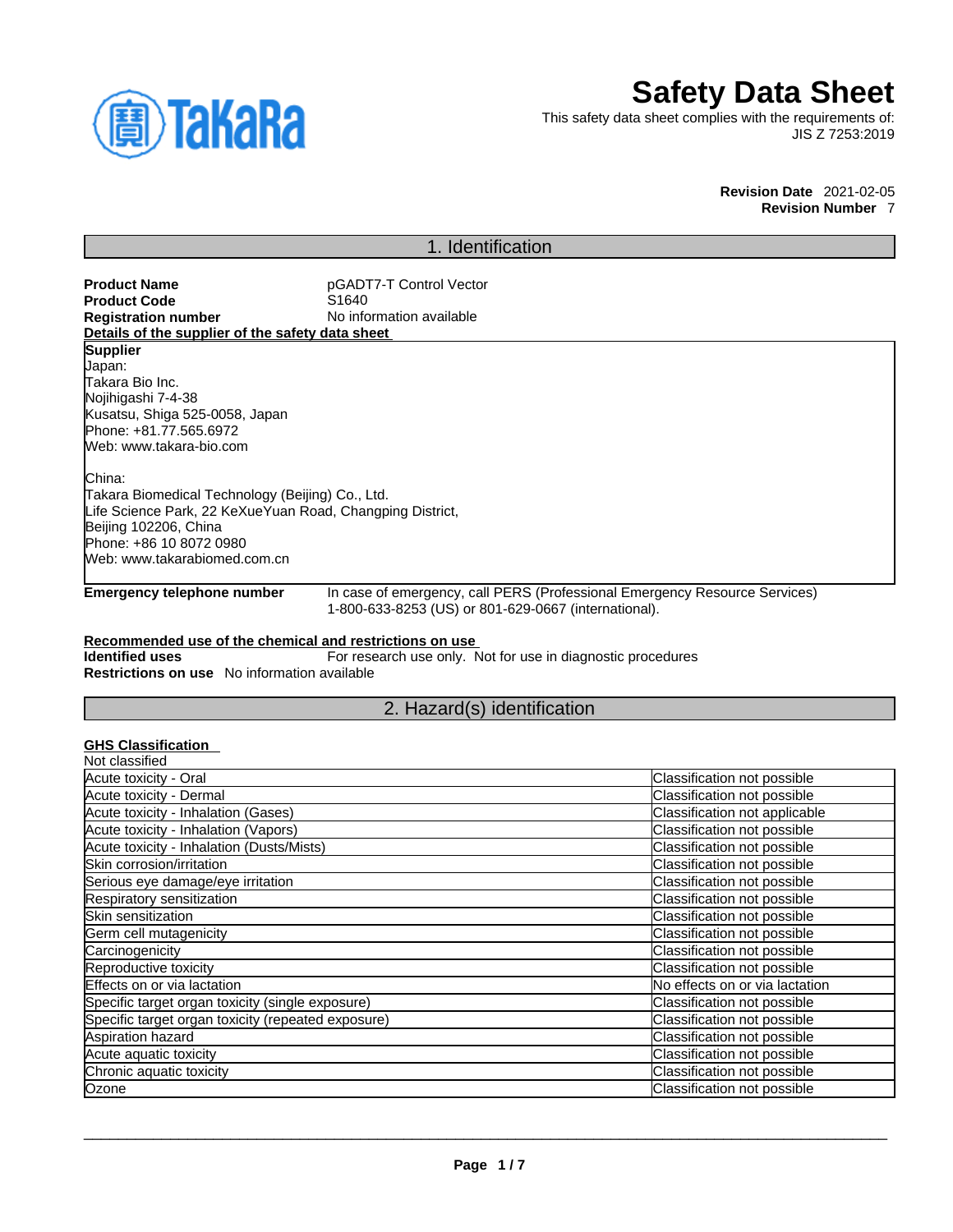

# **Safety Data Sheet**

This safety data sheet complies with the requirements of: JIS Z 7253:2019

> **Revision Date** 2021-02-05 **Revision Number** 7

## 1. Identification

**Product Name**<br> **Product Code**<br> **Product Code**<br> **Product Code**<br> **Product Code Product Code**<br>Registration number **No information available Details of the supplier of the safety data sheet Emergency telephone number** In case of emergency, call PERS (Professional Emergency Resource Services) 1-800-633-8253 (US) or 801-629-0667 (international). **Recommended use of the chemical and restrictions on use Identified uses** For research use only. Not for use in diagnostic procedures **Restrictions on use** No information available 2. Hazard(s) identification **GHS Classification**  Not classified **Supplier** Japan: Takara Bio Inc. Nojihigashi 7-4-38 Kusatsu, Shiga 525-0058, Japan Phone: +81.77.565.6972 Web: www.takara-bio.com China: Takara Biomedical Technology (Beijing) Co., Ltd. Life Science Park, 22 KeXueYuan Road, Changping District, Beijing 102206, China Phone: +86 10 8072 0980 Web: www.takarabiomed.com.cn

| Acute toxicity - Oral                              | Classification not possible    |
|----------------------------------------------------|--------------------------------|
| Acute toxicity - Dermal                            | Classification not possible    |
| Acute toxicity - Inhalation (Gases)                | Classification not applicable  |
| Acute toxicity - Inhalation (Vapors)               | Classification not possible    |
| Acute toxicity - Inhalation (Dusts/Mists)          | Classification not possible    |
| Skin corrosion/irritation                          | Classification not possible    |
| Serious eye damage/eye irritation                  | Classification not possible    |
| Respiratory sensitization                          | Classification not possible    |
| Skin sensitization                                 | Classification not possible    |
| Germ cell mutagenicity                             | Classification not possible    |
| Carcinogenicity                                    | Classification not possible    |
| Reproductive toxicity                              | Classification not possible    |
| Effects on or via lactation                        | No effects on or via lactation |
| Specific target organ toxicity (single exposure)   | Classification not possible    |
| Specific target organ toxicity (repeated exposure) | Classification not possible    |
| Aspiration hazard                                  | Classification not possible    |
| Acute aquatic toxicity                             | Classification not possible    |
| Chronic aquatic toxicity                           | Classification not possible    |
| Ozone                                              | Classification not possible    |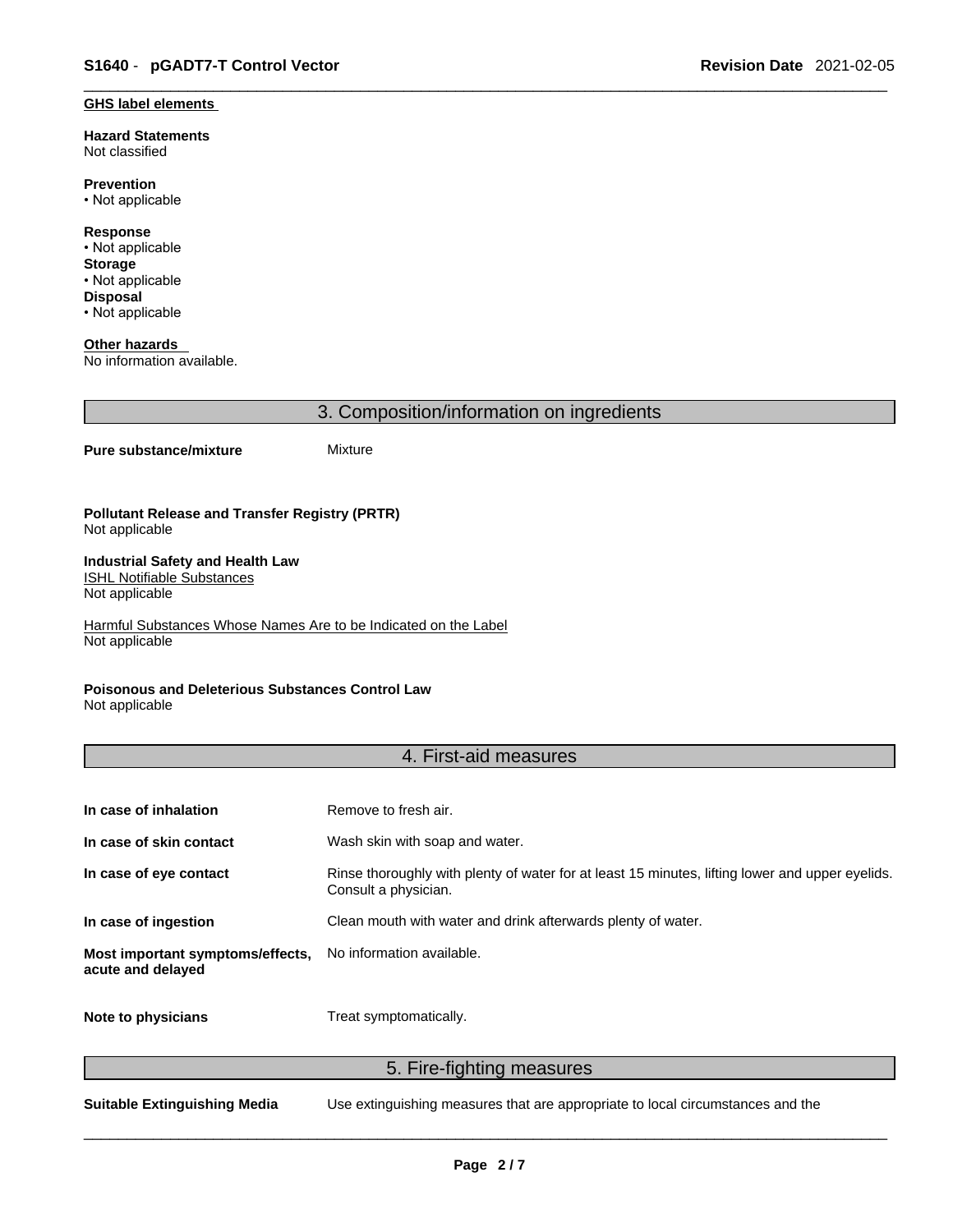#### **GHS label elements**

**Hazard Statements**  Not classified

**Prevention** • Not applicable

**Response** • Not applicable **Storage** • Not applicable **Disposal** • Not applicable

**Other hazards**  No information available.

3. Composition/information on ingredients

#### **Pure substance/mixture** Mixture

**Pollutant Release and Transfer Registry (PRTR)** Not applicable

#### **Industrial Safety and Health Law**  ISHL Notifiable Substances

Not applicable

Harmful Substances Whose Names Are to be Indicated on the Label Not applicable

### **Poisonous and Deleterious Substances Control Law**

Not applicable

### 4. First-aid measures

| In case of inhalation                                 | Remove to fresh air.                                                                                                    |
|-------------------------------------------------------|-------------------------------------------------------------------------------------------------------------------------|
| In case of skin contact                               | Wash skin with soap and water.                                                                                          |
| In case of eye contact                                | Rinse thoroughly with plenty of water for at least 15 minutes, lifting lower and upper eyelids.<br>Consult a physician. |
| In case of ingestion                                  | Clean mouth with water and drink afterwards plenty of water.                                                            |
| Most important symptoms/effects,<br>acute and delayed | No information available.                                                                                               |
| Note to physicians                                    | Treat symptomatically.                                                                                                  |

5. Fire-fighting measures

**Suitable Extinguishing Media** Use extinguishing measures that are appropriate to local circumstances and the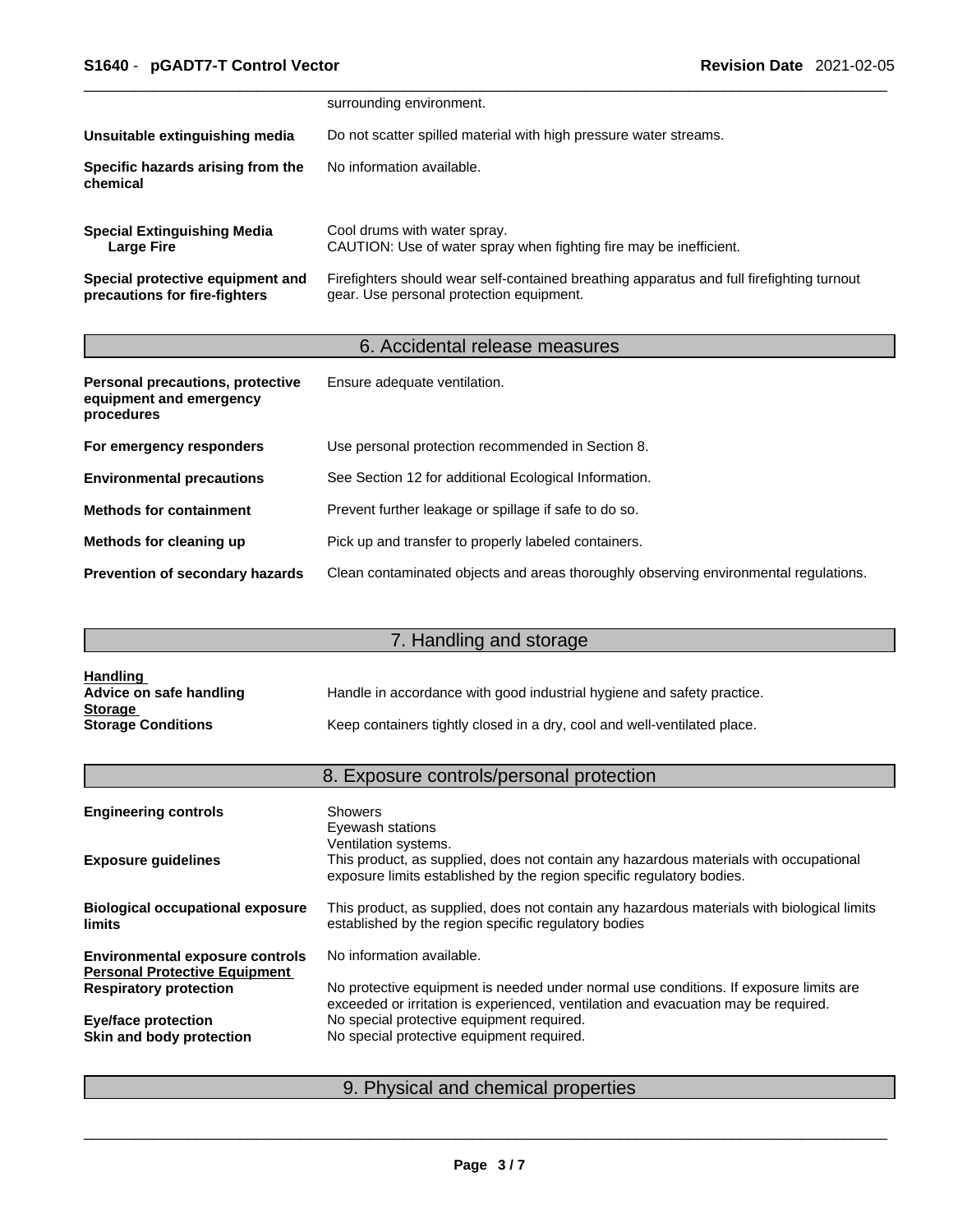|                                                                   | surrounding environment.                                                                                                              |
|-------------------------------------------------------------------|---------------------------------------------------------------------------------------------------------------------------------------|
| Unsuitable extinguishing media                                    | Do not scatter spilled material with high pressure water streams.                                                                     |
| Specific hazards arising from the<br>chemical                     | No information available.                                                                                                             |
| <b>Special Extinguishing Media</b><br>Large Fire                  | Cool drums with water spray.<br>CAUTION: Use of water spray when fighting fire may be inefficient.                                    |
| Special protective equipment and<br>precautions for fire-fighters | Firefighters should wear self-contained breathing apparatus and full firefighting turnout<br>gear. Use personal protection equipment. |

# 6. Accidental release measures

| Personal precautions, protective<br>equipment and emergency<br>procedures | Ensure adequate ventilation.                                                         |
|---------------------------------------------------------------------------|--------------------------------------------------------------------------------------|
| For emergency responders                                                  | Use personal protection recommended in Section 8.                                    |
| <b>Environmental precautions</b>                                          | See Section 12 for additional Ecological Information.                                |
| <b>Methods for containment</b>                                            | Prevent further leakage or spillage if safe to do so.                                |
| Methods for cleaning up                                                   | Pick up and transfer to properly labeled containers.                                 |
| <b>Prevention of secondary hazards</b>                                    | Clean contaminated objects and areas thoroughly observing environmental regulations. |

# 7. Handling and storage

| <b>Handling</b>           |                                                                          |
|---------------------------|--------------------------------------------------------------------------|
| Advice on safe handling   | Handle in accordance with good industrial hygiene and safety practice.   |
| <b>Storage</b>            |                                                                          |
| <b>Storage Conditions</b> | Keep containers tightly closed in a dry, cool and well-ventilated place. |

# 8. Exposure controls/personal protection

| <b>Engineering controls</b>                                                    | <b>Showers</b><br>Eyewash stations                                                                                                                                                     |
|--------------------------------------------------------------------------------|----------------------------------------------------------------------------------------------------------------------------------------------------------------------------------------|
| <b>Exposure guidelines</b>                                                     | Ventilation systems.<br>This product, as supplied, does not contain any hazardous materials with occupational<br>exposure limits established by the region specific regulatory bodies. |
| <b>Biological occupational exposure</b><br><b>limits</b>                       | This product, as supplied, does not contain any hazardous materials with biological limits<br>established by the region specific regulatory bodies                                     |
| <b>Environmental exposure controls</b><br><b>Personal Protective Equipment</b> | No information available.                                                                                                                                                              |
| <b>Respiratory protection</b>                                                  | No protective equipment is needed under normal use conditions. If exposure limits are<br>exceeded or irritation is experienced, ventilation and evacuation may be required.            |
| <b>Eye/face protection</b>                                                     | No special protective equipment required.                                                                                                                                              |
| Skin and body protection                                                       | No special protective equipment required.                                                                                                                                              |
|                                                                                |                                                                                                                                                                                        |

# 9. Physical and chemical properties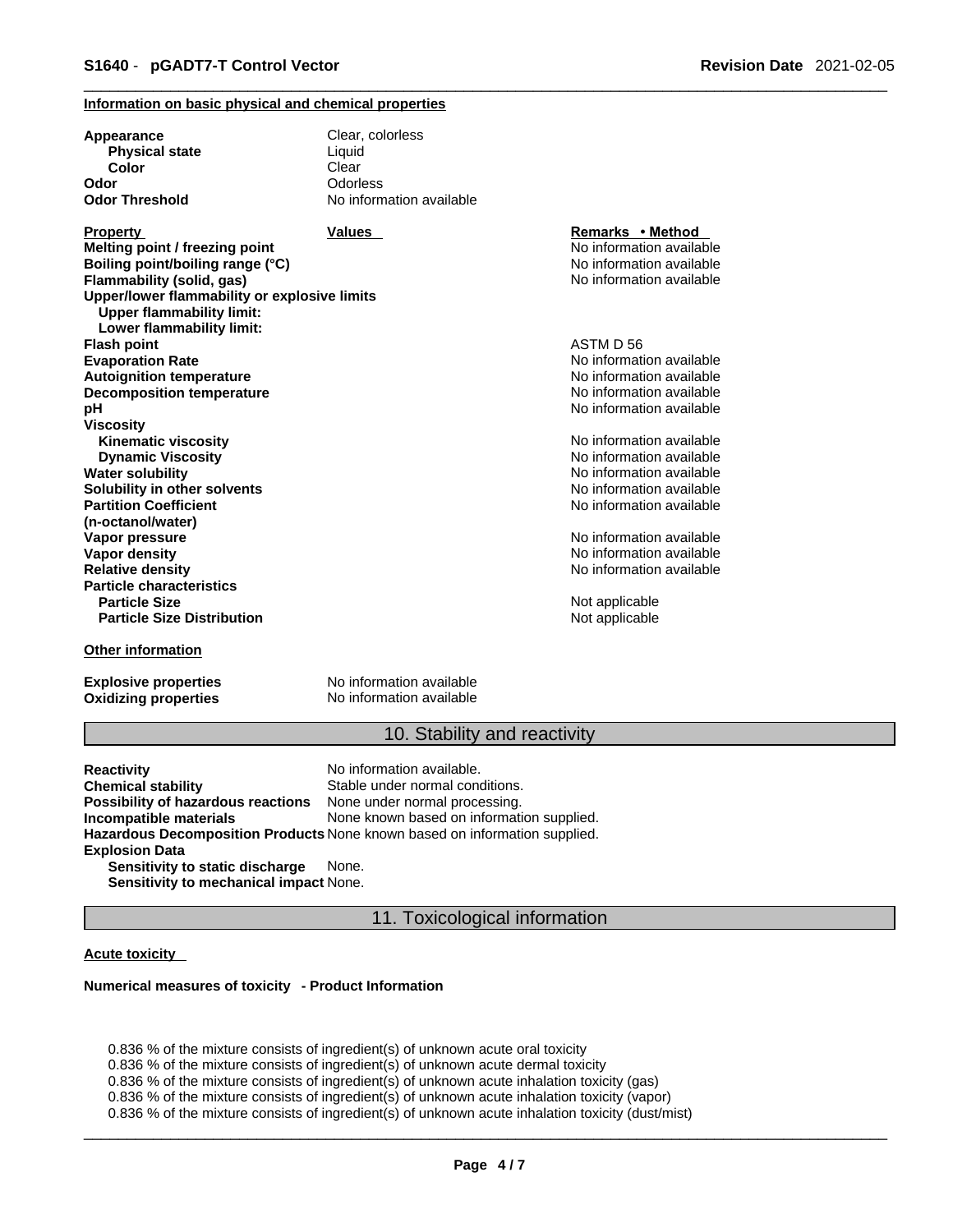### **Information on basic physical and chemical properties**

| Appearance                                                                       | Clear, colorless         |                          |  |
|----------------------------------------------------------------------------------|--------------------------|--------------------------|--|
| <b>Physical state</b>                                                            | Liquid                   |                          |  |
| Color                                                                            | Clear                    |                          |  |
| Odor                                                                             | Odorless                 |                          |  |
| <b>Odor Threshold</b>                                                            | No information available |                          |  |
| Property                                                                         | <b>Values</b>            | Remarks • Method         |  |
| Melting point / freezing point                                                   |                          | No information available |  |
| Boiling point/boiling range (°C)                                                 |                          | No information available |  |
| Flammability (solid, gas)                                                        |                          | No information available |  |
| Upper/lower flammability or explosive limits<br><b>Upper flammability limit:</b> |                          |                          |  |
| Lower flammability limit:                                                        |                          |                          |  |
| <b>Flash point</b>                                                               |                          | ASTM D 56                |  |
| <b>Evaporation Rate</b>                                                          |                          | No information available |  |
| <b>Autoignition temperature</b>                                                  |                          | No information available |  |
| <b>Decomposition temperature</b>                                                 |                          | No information available |  |
| рH                                                                               |                          | No information available |  |
| Viscosity                                                                        |                          |                          |  |
| <b>Kinematic viscosity</b>                                                       |                          | No information available |  |
| <b>Dynamic Viscosity</b>                                                         |                          | No information available |  |
| Water solubility                                                                 |                          | No information available |  |
| Solubility in other solvents                                                     |                          | No information available |  |
| <b>Partition Coefficient</b>                                                     |                          | No information available |  |
| (n-octanol/water)                                                                |                          |                          |  |
| Vapor pressure                                                                   |                          | No information available |  |
| Vapor density                                                                    |                          | No information available |  |
| <b>Relative density</b>                                                          |                          | No information available |  |
| <b>Particle characteristics</b>                                                  |                          |                          |  |
| <b>Particle Size</b>                                                             |                          | Not applicable           |  |
| <b>Particle Size Distribution</b>                                                |                          | Not applicable           |  |
| Other information                                                                |                          |                          |  |

**Explosive properties**<br> **Oxidizing properties**<br>
No information available **Oxidizing properties** 

### 10. Stability and reactivity

**Reactivity Reactivity Reactivity Chemical stability No information available.**<br> **Chemical stability Reaction** Stable under normal cond Stable under normal conditions.<br>None under normal processing. **Possibility of hazardous reactions Incompatible materials** None known based on information supplied. **Hazardous Decomposition Products** None known based on information supplied. **Explosion Data Sensitivity to static discharge** None.

**Sensitivity to mechanical impact** None.

### 11. Toxicological information

#### **Acute toxicity**

#### **Numerical measures of toxicity - Product Information**

0.836 % of the mixture consists of ingredient(s) of unknown acute oral toxicity 0.836 % of the mixture consists of ingredient(s) of unknown acute dermal toxicity 0.836 % of the mixture consists of ingredient(s) of unknown acute inhalation toxicity (gas) 0.836 % of the mixture consists of ingredient(s) of unknown acute inhalation toxicity (vapor) 0.836 % of the mixture consists of ingredient(s) of unknown acute inhalation toxicity (dust/mist)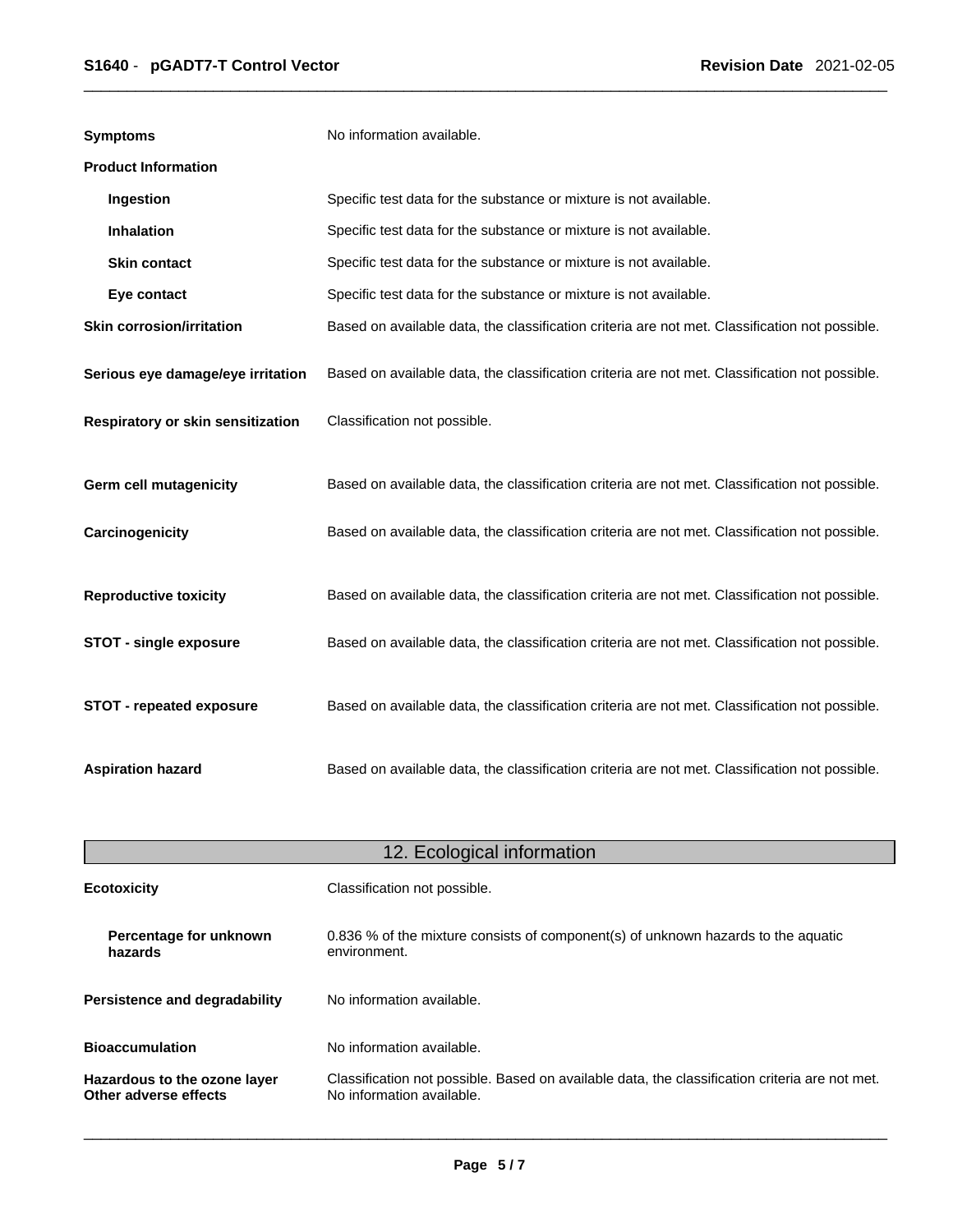| <b>Symptoms</b>                   | No information available.                                                                      |
|-----------------------------------|------------------------------------------------------------------------------------------------|
| <b>Product Information</b>        |                                                                                                |
| Ingestion                         | Specific test data for the substance or mixture is not available.                              |
| Inhalation                        | Specific test data for the substance or mixture is not available.                              |
| <b>Skin contact</b>               | Specific test data for the substance or mixture is not available.                              |
| Eye contact                       | Specific test data for the substance or mixture is not available.                              |
| <b>Skin corrosion/irritation</b>  | Based on available data, the classification criteria are not met. Classification not possible. |
| Serious eye damage/eye irritation | Based on available data, the classification criteria are not met. Classification not possible. |
| Respiratory or skin sensitization | Classification not possible.                                                                   |
| Germ cell mutagenicity            | Based on available data, the classification criteria are not met. Classification not possible. |
| Carcinogenicity                   | Based on available data, the classification criteria are not met. Classification not possible. |
| <b>Reproductive toxicity</b>      | Based on available data, the classification criteria are not met. Classification not possible. |
| <b>STOT - single exposure</b>     | Based on available data, the classification criteria are not met. Classification not possible. |
| STOT - repeated exposure          | Based on available data, the classification criteria are not met. Classification not possible. |
| <b>Aspiration hazard</b>          | Based on available data, the classification criteria are not met. Classification not possible. |

| 12. Ecological information                            |                                                                                                                             |  |
|-------------------------------------------------------|-----------------------------------------------------------------------------------------------------------------------------|--|
| <b>Ecotoxicity</b>                                    | Classification not possible.                                                                                                |  |
| Percentage for unknown<br>hazards                     | 0.836 % of the mixture consists of component(s) of unknown hazards to the aquatic<br>environment.                           |  |
| <b>Persistence and degradability</b>                  | No information available.                                                                                                   |  |
| <b>Bioaccumulation</b>                                | No information available.                                                                                                   |  |
| Hazardous to the ozone layer<br>Other adverse effects | Classification not possible. Based on available data, the classification criteria are not met.<br>No information available. |  |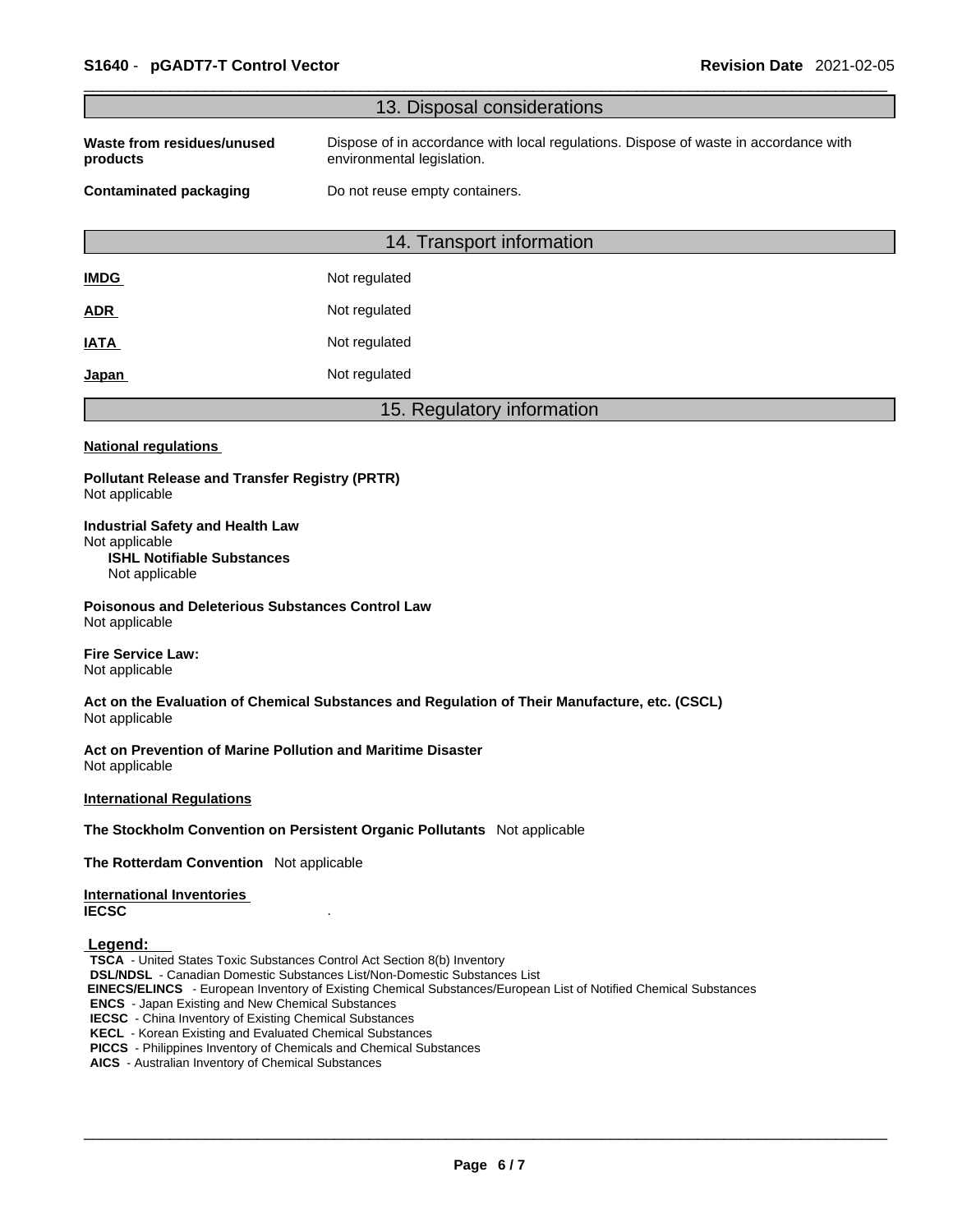|                                                                                                                                                                                                                                                                                                                                                                                                                                                                                                      | 13. Disposal considerations                                                                                        |
|------------------------------------------------------------------------------------------------------------------------------------------------------------------------------------------------------------------------------------------------------------------------------------------------------------------------------------------------------------------------------------------------------------------------------------------------------------------------------------------------------|--------------------------------------------------------------------------------------------------------------------|
| Waste from residues/unused<br>products                                                                                                                                                                                                                                                                                                                                                                                                                                                               | Dispose of in accordance with local regulations. Dispose of waste in accordance with<br>environmental legislation. |
| <b>Contaminated packaging</b>                                                                                                                                                                                                                                                                                                                                                                                                                                                                        | Do not reuse empty containers.                                                                                     |
|                                                                                                                                                                                                                                                                                                                                                                                                                                                                                                      | 14. Transport information                                                                                          |
| <b>IMDG</b>                                                                                                                                                                                                                                                                                                                                                                                                                                                                                          | Not regulated                                                                                                      |
| <b>ADR</b>                                                                                                                                                                                                                                                                                                                                                                                                                                                                                           | Not regulated                                                                                                      |
| <b>IATA</b>                                                                                                                                                                                                                                                                                                                                                                                                                                                                                          | Not regulated                                                                                                      |
| <u>Japan</u>                                                                                                                                                                                                                                                                                                                                                                                                                                                                                         | Not regulated                                                                                                      |
|                                                                                                                                                                                                                                                                                                                                                                                                                                                                                                      | 15. Regulatory information                                                                                         |
| <b>National regulations</b>                                                                                                                                                                                                                                                                                                                                                                                                                                                                          |                                                                                                                    |
| <b>Pollutant Release and Transfer Registry (PRTR)</b><br>Not applicable                                                                                                                                                                                                                                                                                                                                                                                                                              |                                                                                                                    |
| <b>Industrial Safety and Health Law</b><br>Not applicable<br><b>ISHL Notifiable Substances</b><br>Not applicable                                                                                                                                                                                                                                                                                                                                                                                     |                                                                                                                    |
| <b>Poisonous and Deleterious Substances Control Law</b><br>Not applicable                                                                                                                                                                                                                                                                                                                                                                                                                            |                                                                                                                    |
| <b>Fire Service Law:</b><br>Not applicable                                                                                                                                                                                                                                                                                                                                                                                                                                                           |                                                                                                                    |
| Not applicable                                                                                                                                                                                                                                                                                                                                                                                                                                                                                       | Act on the Evaluation of Chemical Substances and Regulation of Their Manufacture, etc. (CSCL)                      |
| Act on Prevention of Marine Pollution and Maritime Disaster<br>Not applicable                                                                                                                                                                                                                                                                                                                                                                                                                        |                                                                                                                    |
| <b>International Regulations</b>                                                                                                                                                                                                                                                                                                                                                                                                                                                                     |                                                                                                                    |
|                                                                                                                                                                                                                                                                                                                                                                                                                                                                                                      | The Stockholm Convention on Persistent Organic Pollutants Not applicable                                           |
| The Rotterdam Convention Not applicable                                                                                                                                                                                                                                                                                                                                                                                                                                                              |                                                                                                                    |
| <b>International Inventories</b><br><b>IECSC</b>                                                                                                                                                                                                                                                                                                                                                                                                                                                     |                                                                                                                    |
| Legend:<br>TSCA - United States Toxic Substances Control Act Section 8(b) Inventory<br><b>DSL/NDSL</b> - Canadian Domestic Substances List/Non-Domestic Substances List<br><b>ENCS</b> - Japan Existing and New Chemical Substances<br><b>IECSC</b> - China Inventory of Existing Chemical Substances<br><b>KECL</b> - Korean Existing and Evaluated Chemical Substances<br>PICCS - Philippines Inventory of Chemicals and Chemical Substances<br>AICS - Australian Inventory of Chemical Substances | EINECS/ELINCS - European Inventory of Existing Chemical Substances/European List of Notified Chemical Substances   |